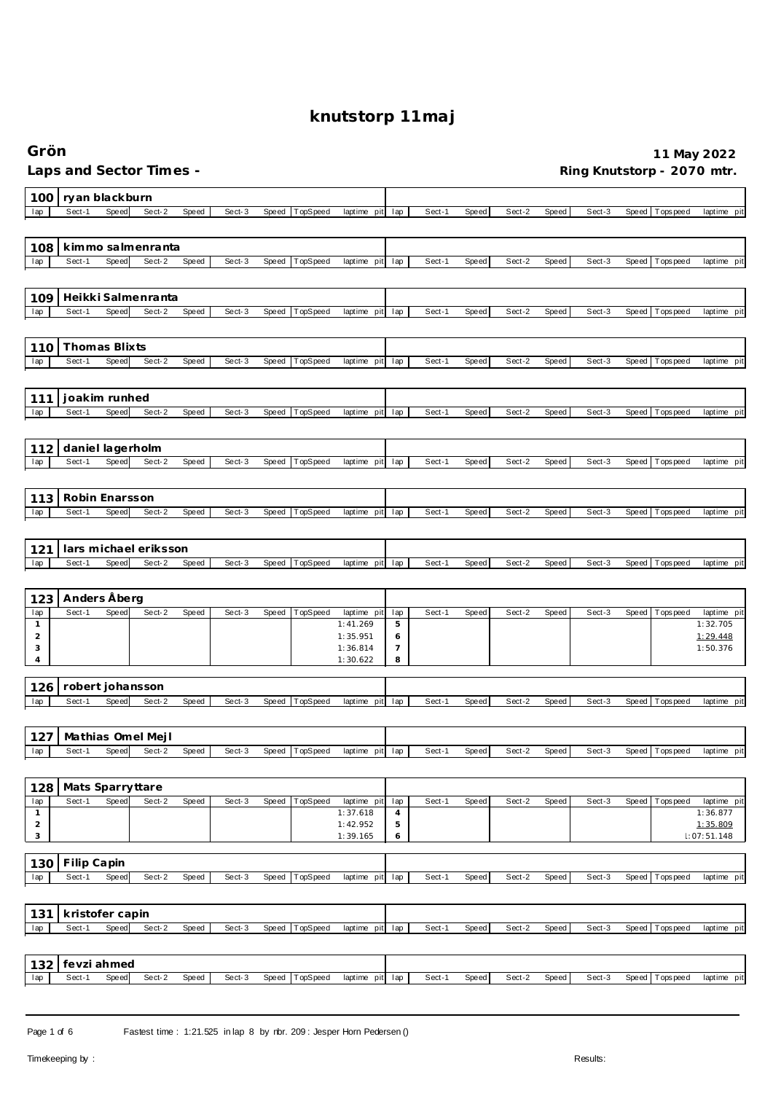| Laps and Sector Times -<br>Ring Knutstorp - 2070 mtr.<br>ryan blackburn<br>100<br>TopSpeed<br>Sect-1<br>Speed<br>Sect-2<br>Speed<br>Sect-3<br>Speed<br>lap<br>Sect-1<br>Speed<br>Sect-2<br>Speed<br>T ops pee d<br>lap<br>laptime pit<br>Sect-3<br>Speed<br>laptime pit<br>kimmo salmenranta<br>108<br>Sect-2<br>Sect-1<br>Speed<br>Speed<br>Sect-3<br>TopSpeed<br>laptime pit lap<br>Sect-1<br>Speed<br>Sect-2<br>Speed<br>Sect-3<br>Tops pee d<br>laptime pit<br>lap<br>Speed<br>Speed<br>Heikki Salmenranta<br>109<br>Sect-1<br>Speed<br>Sect-2<br>Speed<br>Sect-3<br>TopSpeed<br>Sect-2<br>Sect-3<br>Tops pee d<br>Speed<br>laptime pit<br>lap<br>Sect-1<br><b>Speed</b><br>Speed<br>Speed<br>laptime pit<br>lap<br>Thomas Blixts<br>110<br>Speed<br>Sect-2<br>Sect-1<br>Speed<br>Sect-3<br><b>Speed</b><br>TopSpeed<br>Sect-1<br><b>Speed</b><br>Sect-2<br>Speed<br>Sect-3<br>Speed<br>T ops pee d<br>lap<br>laptime<br>pit<br>lap<br>laptime pit<br>joakim runhed<br>111<br>Sect-1<br>Speed<br>Sect-2<br>Speed<br>Sect-3<br>TopSpeed<br>Sect-1<br>lap<br><b>Speed</b><br>laptime pit<br>lap<br>Speed<br>Sect-2<br>Speed<br>Sect-3<br>Speed<br>Tops peed<br>laptime pit<br>daniel lagerholm<br>112<br>Sect-1<br>Speed<br>Sect-2<br>Speed<br>Sect-3<br>TopSpeed<br>laptime pit<br>Sect-1<br><b>Speed</b><br>Sect-2<br>Speed<br>Sect-3<br>Speed<br>T ops pee d<br>lap<br>Speed<br>lap<br>laptime pit<br>Robin Enarsson<br>113<br>Sect-1<br>Speed<br>Sect-2<br>Speed<br>Sect-3<br>Speed<br>TopSpeed<br>laptime pit<br>Sect-1<br>Speed<br>Sect-2<br>Speed<br>Sect-3<br>Tops pee d<br>lap<br>lap<br>Speed<br>laptime pit<br>lars michael eriksson<br>121<br>Sect-1<br>Speed<br>Sect-2<br>Speed<br>Sect-3<br>Speed<br>TopSpeed<br>laptime pit<br>Sect-1<br>Speed<br>Sect-2<br>Speed<br>Sect-3<br>Speed<br>Tops pee d<br>lap<br>lap<br>Anders Åberg<br>123<br>Sect-1<br>Speed<br>Sect-2<br>Speed<br>Sect-3<br>Speed<br>TopSpeed<br>lap<br>Sect-1<br>Speed<br>Sect-2<br>Speed<br>Sect-3<br>Speed<br>lap<br>laptime pit<br>T ops pee d<br>laptime pit<br>1:41.269<br>5<br>1:32.705<br>$\mathbf{1}$<br>$\overline{2}$<br>1:29.448<br>1:35.951<br>6<br>3<br>1:36.814<br>7<br>1:50.376<br>8<br>4<br>1:30.622<br>robert johansson<br>126<br>Sect-1<br>Speed<br>Sect-2<br>Speed<br>Sect-3<br>TopSpeed<br>Sect-2<br>Sect-3<br>Speed<br>laptime pit<br>lap<br>Sect-1<br>Speed<br>Speed<br>Speed<br>Tops pee d<br>laptime pit<br>lap<br>Mathias Omel Mejl<br>127<br>Speed<br>Sect-2<br>Speed<br>Sect-1<br>Sect-3<br>TopSpeed<br>Sect-1<br>Speed<br>Sect-3<br>Speed<br>laptime pit<br>lap<br>Sect-2<br>Speed<br>Speed<br>Tops pee d<br>lap<br>128<br>Mats Sparryttare<br>Sect-1<br>Speed<br>Sect-2<br>Speed<br>Sect-3<br>Speed<br>TopSpeed<br>laptime pit<br>lap<br>Sect-1<br>Speed<br>Sect-2<br>Speed<br>Sect-3<br>Speed<br>T ops pee d<br>lap<br>$\mathbf{1}$<br>1:37.618<br>1:36.877<br>4<br>$\mathbf 2$<br>1:42.952<br>$\mathbf 5$<br>1:35.809<br>3<br>1:39.165<br>1:07:51.148<br>6<br>Filip Capin<br>130<br>Sect-2<br>TopSpeed<br>Sect-1<br>Speed<br>Speed<br>Sect-3<br>Speed<br>laptime pit lap<br>Sect-1<br>Speed<br>Sect-2<br>Sect-3<br>Speed<br>T ops pee d<br>lap<br><b>Speed</b><br>kristofer capin<br>131<br>Speed<br>Sect-2<br>Speed<br>TopSpeed<br>Sect-1<br>Sect-3<br>laptime pit lap<br>Sect-1<br>Speed<br>Sect-2<br>Speed<br>Sect-3<br>Speed Topspeed<br>lap<br>Speed<br>laptime pit<br>fevzi ahmed<br>132 | Grön                                                  |                             |                          | 11 May 2022              |
|----------------------------------------------------------------------------------------------------------------------------------------------------------------------------------------------------------------------------------------------------------------------------------------------------------------------------------------------------------------------------------------------------------------------------------------------------------------------------------------------------------------------------------------------------------------------------------------------------------------------------------------------------------------------------------------------------------------------------------------------------------------------------------------------------------------------------------------------------------------------------------------------------------------------------------------------------------------------------------------------------------------------------------------------------------------------------------------------------------------------------------------------------------------------------------------------------------------------------------------------------------------------------------------------------------------------------------------------------------------------------------------------------------------------------------------------------------------------------------------------------------------------------------------------------------------------------------------------------------------------------------------------------------------------------------------------------------------------------------------------------------------------------------------------------------------------------------------------------------------------------------------------------------------------------------------------------------------------------------------------------------------------------------------------------------------------------------------------------------------------------------------------------------------------------------------------------------------------------------------------------------------------------------------------------------------------------------------------------------------------------------------------------------------------------------------------------------------------------------------------------------------------------------------------------------------------------------------------------------------------------------------------------------------------------------------------------------------------------------------------------------------------------------------------------------------------------------------------------------------------------------------------------------------------------------------------------------------------------------------------------------------------------------------------------------------------------------------------------------------------------------------------------------------------------------------------------------------------------------------------------------------------------------------------------------------------------------------------------------------------------------------------------------------|-------------------------------------------------------|-----------------------------|--------------------------|--------------------------|
| laptime pit<br>laptime pit<br>laptime pit<br>laptime pit                                                                                                                                                                                                                                                                                                                                                                                                                                                                                                                                                                                                                                                                                                                                                                                                                                                                                                                                                                                                                                                                                                                                                                                                                                                                                                                                                                                                                                                                                                                                                                                                                                                                                                                                                                                                                                                                                                                                                                                                                                                                                                                                                                                                                                                                                                                                                                                                                                                                                                                                                                                                                                                                                                                                                                                                                                                                                                                                                                                                                                                                                                                                                                                                                                                                                                                                                       |                                                       |                             |                          |                          |
|                                                                                                                                                                                                                                                                                                                                                                                                                                                                                                                                                                                                                                                                                                                                                                                                                                                                                                                                                                                                                                                                                                                                                                                                                                                                                                                                                                                                                                                                                                                                                                                                                                                                                                                                                                                                                                                                                                                                                                                                                                                                                                                                                                                                                                                                                                                                                                                                                                                                                                                                                                                                                                                                                                                                                                                                                                                                                                                                                                                                                                                                                                                                                                                                                                                                                                                                                                                                                |                                                       |                             |                          |                          |
|                                                                                                                                                                                                                                                                                                                                                                                                                                                                                                                                                                                                                                                                                                                                                                                                                                                                                                                                                                                                                                                                                                                                                                                                                                                                                                                                                                                                                                                                                                                                                                                                                                                                                                                                                                                                                                                                                                                                                                                                                                                                                                                                                                                                                                                                                                                                                                                                                                                                                                                                                                                                                                                                                                                                                                                                                                                                                                                                                                                                                                                                                                                                                                                                                                                                                                                                                                                                                |                                                       |                             |                          |                          |
|                                                                                                                                                                                                                                                                                                                                                                                                                                                                                                                                                                                                                                                                                                                                                                                                                                                                                                                                                                                                                                                                                                                                                                                                                                                                                                                                                                                                                                                                                                                                                                                                                                                                                                                                                                                                                                                                                                                                                                                                                                                                                                                                                                                                                                                                                                                                                                                                                                                                                                                                                                                                                                                                                                                                                                                                                                                                                                                                                                                                                                                                                                                                                                                                                                                                                                                                                                                                                |                                                       |                             |                          |                          |
|                                                                                                                                                                                                                                                                                                                                                                                                                                                                                                                                                                                                                                                                                                                                                                                                                                                                                                                                                                                                                                                                                                                                                                                                                                                                                                                                                                                                                                                                                                                                                                                                                                                                                                                                                                                                                                                                                                                                                                                                                                                                                                                                                                                                                                                                                                                                                                                                                                                                                                                                                                                                                                                                                                                                                                                                                                                                                                                                                                                                                                                                                                                                                                                                                                                                                                                                                                                                                |                                                       |                             |                          |                          |
|                                                                                                                                                                                                                                                                                                                                                                                                                                                                                                                                                                                                                                                                                                                                                                                                                                                                                                                                                                                                                                                                                                                                                                                                                                                                                                                                                                                                                                                                                                                                                                                                                                                                                                                                                                                                                                                                                                                                                                                                                                                                                                                                                                                                                                                                                                                                                                                                                                                                                                                                                                                                                                                                                                                                                                                                                                                                                                                                                                                                                                                                                                                                                                                                                                                                                                                                                                                                                |                                                       |                             |                          |                          |
|                                                                                                                                                                                                                                                                                                                                                                                                                                                                                                                                                                                                                                                                                                                                                                                                                                                                                                                                                                                                                                                                                                                                                                                                                                                                                                                                                                                                                                                                                                                                                                                                                                                                                                                                                                                                                                                                                                                                                                                                                                                                                                                                                                                                                                                                                                                                                                                                                                                                                                                                                                                                                                                                                                                                                                                                                                                                                                                                                                                                                                                                                                                                                                                                                                                                                                                                                                                                                |                                                       |                             |                          |                          |
|                                                                                                                                                                                                                                                                                                                                                                                                                                                                                                                                                                                                                                                                                                                                                                                                                                                                                                                                                                                                                                                                                                                                                                                                                                                                                                                                                                                                                                                                                                                                                                                                                                                                                                                                                                                                                                                                                                                                                                                                                                                                                                                                                                                                                                                                                                                                                                                                                                                                                                                                                                                                                                                                                                                                                                                                                                                                                                                                                                                                                                                                                                                                                                                                                                                                                                                                                                                                                |                                                       |                             |                          |                          |
|                                                                                                                                                                                                                                                                                                                                                                                                                                                                                                                                                                                                                                                                                                                                                                                                                                                                                                                                                                                                                                                                                                                                                                                                                                                                                                                                                                                                                                                                                                                                                                                                                                                                                                                                                                                                                                                                                                                                                                                                                                                                                                                                                                                                                                                                                                                                                                                                                                                                                                                                                                                                                                                                                                                                                                                                                                                                                                                                                                                                                                                                                                                                                                                                                                                                                                                                                                                                                |                                                       |                             |                          |                          |
|                                                                                                                                                                                                                                                                                                                                                                                                                                                                                                                                                                                                                                                                                                                                                                                                                                                                                                                                                                                                                                                                                                                                                                                                                                                                                                                                                                                                                                                                                                                                                                                                                                                                                                                                                                                                                                                                                                                                                                                                                                                                                                                                                                                                                                                                                                                                                                                                                                                                                                                                                                                                                                                                                                                                                                                                                                                                                                                                                                                                                                                                                                                                                                                                                                                                                                                                                                                                                |                                                       |                             |                          |                          |
|                                                                                                                                                                                                                                                                                                                                                                                                                                                                                                                                                                                                                                                                                                                                                                                                                                                                                                                                                                                                                                                                                                                                                                                                                                                                                                                                                                                                                                                                                                                                                                                                                                                                                                                                                                                                                                                                                                                                                                                                                                                                                                                                                                                                                                                                                                                                                                                                                                                                                                                                                                                                                                                                                                                                                                                                                                                                                                                                                                                                                                                                                                                                                                                                                                                                                                                                                                                                                |                                                       |                             |                          |                          |
|                                                                                                                                                                                                                                                                                                                                                                                                                                                                                                                                                                                                                                                                                                                                                                                                                                                                                                                                                                                                                                                                                                                                                                                                                                                                                                                                                                                                                                                                                                                                                                                                                                                                                                                                                                                                                                                                                                                                                                                                                                                                                                                                                                                                                                                                                                                                                                                                                                                                                                                                                                                                                                                                                                                                                                                                                                                                                                                                                                                                                                                                                                                                                                                                                                                                                                                                                                                                                |                                                       |                             |                          |                          |
|                                                                                                                                                                                                                                                                                                                                                                                                                                                                                                                                                                                                                                                                                                                                                                                                                                                                                                                                                                                                                                                                                                                                                                                                                                                                                                                                                                                                                                                                                                                                                                                                                                                                                                                                                                                                                                                                                                                                                                                                                                                                                                                                                                                                                                                                                                                                                                                                                                                                                                                                                                                                                                                                                                                                                                                                                                                                                                                                                                                                                                                                                                                                                                                                                                                                                                                                                                                                                |                                                       |                             |                          |                          |
|                                                                                                                                                                                                                                                                                                                                                                                                                                                                                                                                                                                                                                                                                                                                                                                                                                                                                                                                                                                                                                                                                                                                                                                                                                                                                                                                                                                                                                                                                                                                                                                                                                                                                                                                                                                                                                                                                                                                                                                                                                                                                                                                                                                                                                                                                                                                                                                                                                                                                                                                                                                                                                                                                                                                                                                                                                                                                                                                                                                                                                                                                                                                                                                                                                                                                                                                                                                                                |                                                       |                             |                          |                          |
|                                                                                                                                                                                                                                                                                                                                                                                                                                                                                                                                                                                                                                                                                                                                                                                                                                                                                                                                                                                                                                                                                                                                                                                                                                                                                                                                                                                                                                                                                                                                                                                                                                                                                                                                                                                                                                                                                                                                                                                                                                                                                                                                                                                                                                                                                                                                                                                                                                                                                                                                                                                                                                                                                                                                                                                                                                                                                                                                                                                                                                                                                                                                                                                                                                                                                                                                                                                                                |                                                       |                             |                          |                          |
|                                                                                                                                                                                                                                                                                                                                                                                                                                                                                                                                                                                                                                                                                                                                                                                                                                                                                                                                                                                                                                                                                                                                                                                                                                                                                                                                                                                                                                                                                                                                                                                                                                                                                                                                                                                                                                                                                                                                                                                                                                                                                                                                                                                                                                                                                                                                                                                                                                                                                                                                                                                                                                                                                                                                                                                                                                                                                                                                                                                                                                                                                                                                                                                                                                                                                                                                                                                                                |                                                       |                             |                          |                          |
|                                                                                                                                                                                                                                                                                                                                                                                                                                                                                                                                                                                                                                                                                                                                                                                                                                                                                                                                                                                                                                                                                                                                                                                                                                                                                                                                                                                                                                                                                                                                                                                                                                                                                                                                                                                                                                                                                                                                                                                                                                                                                                                                                                                                                                                                                                                                                                                                                                                                                                                                                                                                                                                                                                                                                                                                                                                                                                                                                                                                                                                                                                                                                                                                                                                                                                                                                                                                                |                                                       |                             |                          |                          |
|                                                                                                                                                                                                                                                                                                                                                                                                                                                                                                                                                                                                                                                                                                                                                                                                                                                                                                                                                                                                                                                                                                                                                                                                                                                                                                                                                                                                                                                                                                                                                                                                                                                                                                                                                                                                                                                                                                                                                                                                                                                                                                                                                                                                                                                                                                                                                                                                                                                                                                                                                                                                                                                                                                                                                                                                                                                                                                                                                                                                                                                                                                                                                                                                                                                                                                                                                                                                                |                                                       |                             |                          |                          |
|                                                                                                                                                                                                                                                                                                                                                                                                                                                                                                                                                                                                                                                                                                                                                                                                                                                                                                                                                                                                                                                                                                                                                                                                                                                                                                                                                                                                                                                                                                                                                                                                                                                                                                                                                                                                                                                                                                                                                                                                                                                                                                                                                                                                                                                                                                                                                                                                                                                                                                                                                                                                                                                                                                                                                                                                                                                                                                                                                                                                                                                                                                                                                                                                                                                                                                                                                                                                                |                                                       |                             |                          |                          |
|                                                                                                                                                                                                                                                                                                                                                                                                                                                                                                                                                                                                                                                                                                                                                                                                                                                                                                                                                                                                                                                                                                                                                                                                                                                                                                                                                                                                                                                                                                                                                                                                                                                                                                                                                                                                                                                                                                                                                                                                                                                                                                                                                                                                                                                                                                                                                                                                                                                                                                                                                                                                                                                                                                                                                                                                                                                                                                                                                                                                                                                                                                                                                                                                                                                                                                                                                                                                                |                                                       |                             |                          |                          |
|                                                                                                                                                                                                                                                                                                                                                                                                                                                                                                                                                                                                                                                                                                                                                                                                                                                                                                                                                                                                                                                                                                                                                                                                                                                                                                                                                                                                                                                                                                                                                                                                                                                                                                                                                                                                                                                                                                                                                                                                                                                                                                                                                                                                                                                                                                                                                                                                                                                                                                                                                                                                                                                                                                                                                                                                                                                                                                                                                                                                                                                                                                                                                                                                                                                                                                                                                                                                                |                                                       |                             |                          |                          |
|                                                                                                                                                                                                                                                                                                                                                                                                                                                                                                                                                                                                                                                                                                                                                                                                                                                                                                                                                                                                                                                                                                                                                                                                                                                                                                                                                                                                                                                                                                                                                                                                                                                                                                                                                                                                                                                                                                                                                                                                                                                                                                                                                                                                                                                                                                                                                                                                                                                                                                                                                                                                                                                                                                                                                                                                                                                                                                                                                                                                                                                                                                                                                                                                                                                                                                                                                                                                                |                                                       |                             |                          |                          |
|                                                                                                                                                                                                                                                                                                                                                                                                                                                                                                                                                                                                                                                                                                                                                                                                                                                                                                                                                                                                                                                                                                                                                                                                                                                                                                                                                                                                                                                                                                                                                                                                                                                                                                                                                                                                                                                                                                                                                                                                                                                                                                                                                                                                                                                                                                                                                                                                                                                                                                                                                                                                                                                                                                                                                                                                                                                                                                                                                                                                                                                                                                                                                                                                                                                                                                                                                                                                                |                                                       |                             |                          |                          |
|                                                                                                                                                                                                                                                                                                                                                                                                                                                                                                                                                                                                                                                                                                                                                                                                                                                                                                                                                                                                                                                                                                                                                                                                                                                                                                                                                                                                                                                                                                                                                                                                                                                                                                                                                                                                                                                                                                                                                                                                                                                                                                                                                                                                                                                                                                                                                                                                                                                                                                                                                                                                                                                                                                                                                                                                                                                                                                                                                                                                                                                                                                                                                                                                                                                                                                                                                                                                                |                                                       |                             |                          |                          |
|                                                                                                                                                                                                                                                                                                                                                                                                                                                                                                                                                                                                                                                                                                                                                                                                                                                                                                                                                                                                                                                                                                                                                                                                                                                                                                                                                                                                                                                                                                                                                                                                                                                                                                                                                                                                                                                                                                                                                                                                                                                                                                                                                                                                                                                                                                                                                                                                                                                                                                                                                                                                                                                                                                                                                                                                                                                                                                                                                                                                                                                                                                                                                                                                                                                                                                                                                                                                                |                                                       |                             |                          |                          |
|                                                                                                                                                                                                                                                                                                                                                                                                                                                                                                                                                                                                                                                                                                                                                                                                                                                                                                                                                                                                                                                                                                                                                                                                                                                                                                                                                                                                                                                                                                                                                                                                                                                                                                                                                                                                                                                                                                                                                                                                                                                                                                                                                                                                                                                                                                                                                                                                                                                                                                                                                                                                                                                                                                                                                                                                                                                                                                                                                                                                                                                                                                                                                                                                                                                                                                                                                                                                                |                                                       |                             |                          |                          |
|                                                                                                                                                                                                                                                                                                                                                                                                                                                                                                                                                                                                                                                                                                                                                                                                                                                                                                                                                                                                                                                                                                                                                                                                                                                                                                                                                                                                                                                                                                                                                                                                                                                                                                                                                                                                                                                                                                                                                                                                                                                                                                                                                                                                                                                                                                                                                                                                                                                                                                                                                                                                                                                                                                                                                                                                                                                                                                                                                                                                                                                                                                                                                                                                                                                                                                                                                                                                                |                                                       |                             |                          |                          |
|                                                                                                                                                                                                                                                                                                                                                                                                                                                                                                                                                                                                                                                                                                                                                                                                                                                                                                                                                                                                                                                                                                                                                                                                                                                                                                                                                                                                                                                                                                                                                                                                                                                                                                                                                                                                                                                                                                                                                                                                                                                                                                                                                                                                                                                                                                                                                                                                                                                                                                                                                                                                                                                                                                                                                                                                                                                                                                                                                                                                                                                                                                                                                                                                                                                                                                                                                                                                                |                                                       |                             |                          |                          |
|                                                                                                                                                                                                                                                                                                                                                                                                                                                                                                                                                                                                                                                                                                                                                                                                                                                                                                                                                                                                                                                                                                                                                                                                                                                                                                                                                                                                                                                                                                                                                                                                                                                                                                                                                                                                                                                                                                                                                                                                                                                                                                                                                                                                                                                                                                                                                                                                                                                                                                                                                                                                                                                                                                                                                                                                                                                                                                                                                                                                                                                                                                                                                                                                                                                                                                                                                                                                                |                                                       |                             |                          |                          |
|                                                                                                                                                                                                                                                                                                                                                                                                                                                                                                                                                                                                                                                                                                                                                                                                                                                                                                                                                                                                                                                                                                                                                                                                                                                                                                                                                                                                                                                                                                                                                                                                                                                                                                                                                                                                                                                                                                                                                                                                                                                                                                                                                                                                                                                                                                                                                                                                                                                                                                                                                                                                                                                                                                                                                                                                                                                                                                                                                                                                                                                                                                                                                                                                                                                                                                                                                                                                                |                                                       |                             |                          |                          |
|                                                                                                                                                                                                                                                                                                                                                                                                                                                                                                                                                                                                                                                                                                                                                                                                                                                                                                                                                                                                                                                                                                                                                                                                                                                                                                                                                                                                                                                                                                                                                                                                                                                                                                                                                                                                                                                                                                                                                                                                                                                                                                                                                                                                                                                                                                                                                                                                                                                                                                                                                                                                                                                                                                                                                                                                                                                                                                                                                                                                                                                                                                                                                                                                                                                                                                                                                                                                                |                                                       |                             |                          |                          |
|                                                                                                                                                                                                                                                                                                                                                                                                                                                                                                                                                                                                                                                                                                                                                                                                                                                                                                                                                                                                                                                                                                                                                                                                                                                                                                                                                                                                                                                                                                                                                                                                                                                                                                                                                                                                                                                                                                                                                                                                                                                                                                                                                                                                                                                                                                                                                                                                                                                                                                                                                                                                                                                                                                                                                                                                                                                                                                                                                                                                                                                                                                                                                                                                                                                                                                                                                                                                                |                                                       |                             |                          |                          |
|                                                                                                                                                                                                                                                                                                                                                                                                                                                                                                                                                                                                                                                                                                                                                                                                                                                                                                                                                                                                                                                                                                                                                                                                                                                                                                                                                                                                                                                                                                                                                                                                                                                                                                                                                                                                                                                                                                                                                                                                                                                                                                                                                                                                                                                                                                                                                                                                                                                                                                                                                                                                                                                                                                                                                                                                                                                                                                                                                                                                                                                                                                                                                                                                                                                                                                                                                                                                                |                                                       |                             |                          |                          |
|                                                                                                                                                                                                                                                                                                                                                                                                                                                                                                                                                                                                                                                                                                                                                                                                                                                                                                                                                                                                                                                                                                                                                                                                                                                                                                                                                                                                                                                                                                                                                                                                                                                                                                                                                                                                                                                                                                                                                                                                                                                                                                                                                                                                                                                                                                                                                                                                                                                                                                                                                                                                                                                                                                                                                                                                                                                                                                                                                                                                                                                                                                                                                                                                                                                                                                                                                                                                                |                                                       |                             |                          |                          |
|                                                                                                                                                                                                                                                                                                                                                                                                                                                                                                                                                                                                                                                                                                                                                                                                                                                                                                                                                                                                                                                                                                                                                                                                                                                                                                                                                                                                                                                                                                                                                                                                                                                                                                                                                                                                                                                                                                                                                                                                                                                                                                                                                                                                                                                                                                                                                                                                                                                                                                                                                                                                                                                                                                                                                                                                                                                                                                                                                                                                                                                                                                                                                                                                                                                                                                                                                                                                                |                                                       |                             |                          |                          |
|                                                                                                                                                                                                                                                                                                                                                                                                                                                                                                                                                                                                                                                                                                                                                                                                                                                                                                                                                                                                                                                                                                                                                                                                                                                                                                                                                                                                                                                                                                                                                                                                                                                                                                                                                                                                                                                                                                                                                                                                                                                                                                                                                                                                                                                                                                                                                                                                                                                                                                                                                                                                                                                                                                                                                                                                                                                                                                                                                                                                                                                                                                                                                                                                                                                                                                                                                                                                                |                                                       |                             |                          |                          |
| Sect-1<br>laptime pit<br>lap                                                                                                                                                                                                                                                                                                                                                                                                                                                                                                                                                                                                                                                                                                                                                                                                                                                                                                                                                                                                                                                                                                                                                                                                                                                                                                                                                                                                                                                                                                                                                                                                                                                                                                                                                                                                                                                                                                                                                                                                                                                                                                                                                                                                                                                                                                                                                                                                                                                                                                                                                                                                                                                                                                                                                                                                                                                                                                                                                                                                                                                                                                                                                                                                                                                                                                                                                                                   | Sect-1<br>Speed<br>Sect-2<br>Speed<br>Sect-3<br>Speed | TopSpeed<br>laptime pit lap | Sect-2<br>Speed<br>Speed | Sect-3<br>Speed Topspeed |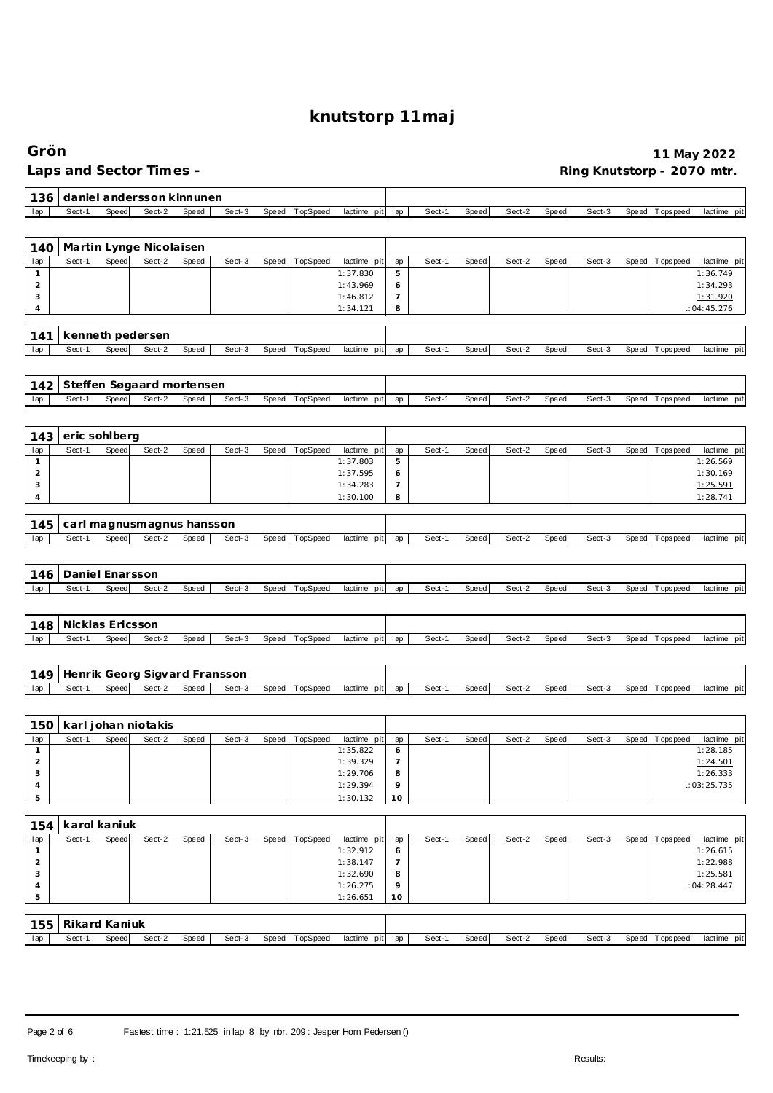#### **Grön 11 May 2022** Ring Knutstorp - 2070 mtr.

| 136                 |                  |       | daniel andersson kinnunen               |       |        |       |                |                      |                     |        |       |        |       |        |       |                |                      |
|---------------------|------------------|-------|-----------------------------------------|-------|--------|-------|----------------|----------------------|---------------------|--------|-------|--------|-------|--------|-------|----------------|----------------------|
| lap                 | Sect-1           | Speed | Sect-2                                  | Speed | Sect-3 | Speed | TopSpeed       | laptime pit lap      |                     | Sect-1 | Speed | Sect-2 | Speed | Sect-3 | Speed | T ops pee d    | laptime pit          |
|                     |                  |       |                                         |       |        |       |                |                      |                     |        |       |        |       |        |       |                |                      |
| 140                 |                  |       | Martin Lynge Nicolaisen                 |       |        |       |                |                      |                     |        |       |        |       |        |       |                |                      |
| lap                 | Sect-1           | Speed | Sect-2                                  | Speed | Sect-3 | Speed | TopSpeed       | laptime pit          | lap                 | Sect-1 | Speed | Sect-2 | Speed | Sect-3 | Speed | T ops pee d    | laptime pit          |
| $\mathbf{1}$        |                  |       |                                         |       |        |       |                | 1:37.830             | $\mathbf 5$         |        |       |        |       |        |       |                | 1:36.749             |
| $\sqrt{2}$          |                  |       |                                         |       |        |       |                | 1:43.969             | 6                   |        |       |        |       |        |       |                | 1:34.293             |
| 3                   |                  |       |                                         |       |        |       |                | 1:46.812             | $\overline{7}$      |        |       |        |       |        |       |                | 1:31.920             |
| $\overline{4}$      |                  |       |                                         |       |        |       |                | 1:34.121             | 8                   |        |       |        |       |        |       |                | 1:04:45.276          |
|                     |                  |       |                                         |       |        |       |                |                      |                     |        |       |        |       |        |       |                |                      |
| 141<br>lap          | Sect-1           | Speed | kenneth pedersen<br>Sect-2              | Speed | Sect-3 |       | Speed TopSpeed | laptime pit lap      |                     | Sect-1 | Speed | Sect-2 | Speed | Sect-3 |       | Speed Topspeed | laptime pit          |
|                     |                  |       |                                         |       |        |       |                |                      |                     |        |       |        |       |        |       |                |                      |
|                     |                  |       |                                         |       |        |       |                |                      |                     |        |       |        |       |        |       |                |                      |
| 142                 |                  |       | Steffen Søgaard mortensen               |       |        |       |                |                      |                     |        |       |        |       |        |       |                |                      |
| lap                 | Sect-1           | Speed | Sect-2                                  | Speed | Sect-3 | Speed | TopSpeed       | laptime pit lap      |                     | Sect-1 | Speed | Sect-2 | Speed | Sect-3 | Speed | T ops pee d    | laptime pit          |
|                     |                  |       |                                         |       |        |       |                |                      |                     |        |       |        |       |        |       |                |                      |
| 143                 | eric sohlberg    |       |                                         |       |        |       |                |                      |                     |        |       |        |       |        |       |                |                      |
| lap                 | Sect-1           | Speed | Sect-2                                  | Speed | Sect-3 | Speed | TopSpeed       | laptime pit          | lap                 | Sect-1 | Speed | Sect-2 | Speed | Sect-3 | Speed | T ops pee d    | laptime pit          |
| $\mathbf{1}$        |                  |       |                                         |       |        |       |                | 1:37.803             | 5                   |        |       |        |       |        |       |                | 1:26.569             |
| $\overline{c}$      |                  |       |                                         |       |        |       |                | 1:37.595             | 6                   |        |       |        |       |        |       |                | 1:30.169             |
| 3                   |                  |       |                                         |       |        |       |                | 1:34.283             | $\overline{7}$      |        |       |        |       |        |       |                | 1:25.591             |
| 4                   |                  |       |                                         |       |        |       |                | 1:30.100             | 8                   |        |       |        |       |        |       |                | 1:28.741             |
|                     |                  |       | carl magnusmagnus hansson               |       |        |       |                |                      |                     |        |       |        |       |        |       |                |                      |
| 145<br>lap          | Sect-1           | Speed | Sect-2                                  | Speed | Sect-3 | Speed | TopSpeed       | laptime pit lap      |                     | Sect-1 | Speed | Sect-2 | Speed | Sect-3 | Speed | Tops pee d     | laptime pit          |
|                     |                  |       |                                         |       |        |       |                |                      |                     |        |       |        |       |        |       |                |                      |
|                     |                  |       |                                         |       |        |       |                |                      |                     |        |       |        |       |        |       |                |                      |
| 146                 | Daniel Enarsson  |       |                                         |       |        |       |                |                      |                     |        |       |        |       |        |       |                |                      |
| lap                 | Sect-1           | Speed | Sect-2                                  | Speed | Sect-3 | Speed | TopSpeed       | laptime pit lap      |                     | Sect-1 | Speed | Sect-2 | Speed | Sect-3 | Speed | Tops pee d     | laptime pit          |
|                     |                  |       |                                         |       |        |       |                |                      |                     |        |       |        |       |        |       |                |                      |
| 148                 | Nicklas Ericsson |       |                                         |       |        |       |                |                      |                     |        |       |        |       |        |       |                |                      |
| lap                 | Sect-1           | Speed | Sect-2                                  | Speed | Sect-3 | Speed | TopSpeed       | laptime pit lap      |                     | Sect-1 | Speed | Sect-2 | Speed | Sect-3 | Speed | Tops pee d     | laptime pit          |
|                     |                  |       |                                         |       |        |       |                |                      |                     |        |       |        |       |        |       |                |                      |
|                     |                  |       |                                         |       |        |       |                |                      |                     |        |       |        |       |        |       |                |                      |
| 149                 | Sect-1           |       | Henrik Georg Sigvard Fransson<br>Sect-2 |       | Sect-3 |       |                |                      |                     |        |       |        |       |        |       |                |                      |
| lap                 |                  | Speed |                                         | Speed |        | Speed | TopSpeed       | laptime pit lap      |                     | Sect-1 | Speed | Sect-2 | Speed | Sect-3 | Speed | Tops pee d     | laptime pit          |
|                     |                  |       |                                         |       |        |       |                |                      |                     |        |       |        |       |        |       |                |                      |
| 150                 |                  |       | karljohan niotakis                      |       |        |       |                |                      |                     |        |       |        |       |        |       |                |                      |
| lap                 | Sect-1           | Speed | Sect-2                                  | Speed | Sect-3 | Speed | TopSpeed       | laptime pit          | lap                 | Sect-1 | Speed | Sect-2 | Speed | Sect-3 | Speed | T ops pee d    | laptime pit          |
| $\mathbf{1}$        |                  |       |                                         |       |        |       |                | 1:35.822             | 6                   |        |       |        |       |        |       |                | 1:28.185             |
| $\mathbf 2$<br>3    |                  |       |                                         |       |        |       |                | 1:39.329<br>1:29.706 | $\overline{7}$<br>8 |        |       |        |       |        |       |                | 1:24.501<br>1:26.333 |
| $\overline{4}$      |                  |       |                                         |       |        |       |                | 1:29.394             | 9                   |        |       |        |       |        |       |                | 1:03:25.735          |
| 5                   |                  |       |                                         |       |        |       |                | 1:30.132             | 10                  |        |       |        |       |        |       |                |                      |
|                     |                  |       |                                         |       |        |       |                |                      |                     |        |       |        |       |        |       |                |                      |
| 154                 | karol kaniuk     |       |                                         |       |        |       |                |                      |                     |        |       |        |       |        |       |                |                      |
| lap                 | Sect-1           | Speed | Sect-2                                  | Speed | Sect-3 | Speed | TopSpeed       | laptime pit          | lap                 | Sect-1 | Speed | Sect-2 | Speed | Sect-3 | Speed | Tops pee d     | laptime pit          |
| $\mathbf{1}$        |                  |       |                                         |       |        |       |                | 1:32.912             | 6                   |        |       |        |       |        |       |                | 1:26.615             |
| $\overline{2}$<br>3 |                  |       |                                         |       |        |       |                | 1:38.147<br>1:32.690 | $\overline{7}$<br>8 |        |       |        |       |        |       |                | 1:22.988<br>1:25.581 |
| $\overline{4}$      |                  |       |                                         |       |        |       |                | 1:26.275             | 9                   |        |       |        |       |        |       |                | 1:04:28.447          |
| 5                   |                  |       |                                         |       |        |       |                | 1:26.651             | 10                  |        |       |        |       |        |       |                |                      |
|                     |                  |       |                                         |       |        |       |                |                      |                     |        |       |        |       |        |       |                |                      |
| 155                 | Rikard Kaniuk    |       |                                         |       |        |       |                |                      |                     |        |       |        |       |        |       |                |                      |
| lap                 | Sect-1           | Speed | Sect-2                                  | Speed | Sect-3 | Speed | TopSpeed       | laptime pit lap      |                     | Sect-1 | Speed | Sect-2 | Speed | Sect-3 | Speed | Tops peed      | laptime pit          |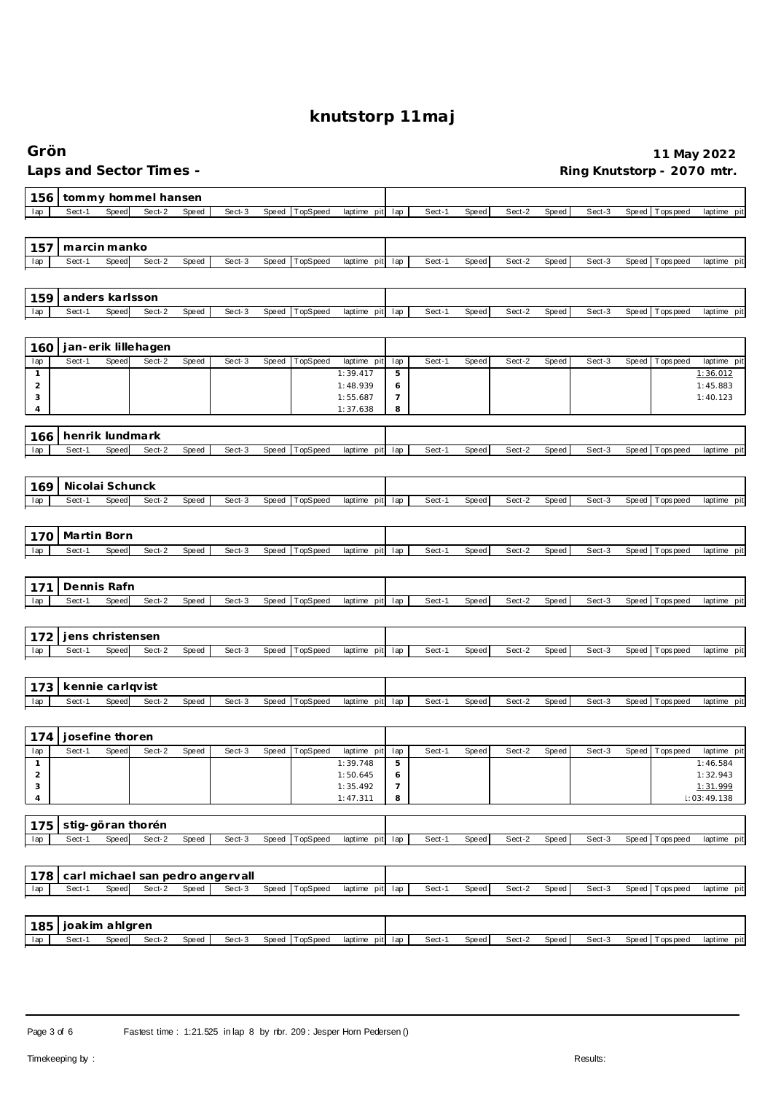| Grön                |                       |       |                         |              |                                            |       |          |                         |                     |        |       |        |              |        |       |                 | 11 May 2022                |
|---------------------|-----------------------|-------|-------------------------|--------------|--------------------------------------------|-------|----------|-------------------------|---------------------|--------|-------|--------|--------------|--------|-------|-----------------|----------------------------|
|                     |                       |       | Laps and Sector Times - |              |                                            |       |          |                         |                     |        |       |        |              |        |       |                 | Ring Knutstorp - 2070 mtr. |
| 156                 |                       |       | tommy hommel hansen     |              |                                            |       |          |                         |                     |        |       |        |              |        |       |                 |                            |
| lap                 | Sect-1                | Speed | Sect-2                  | Speed        | Sect-3                                     | Speed | TopSpeed | laptime pit             | lap                 | Sect-1 | Speed | Sect-2 | Speed        | Sect-3 | Speed | Tops pee d      | laptime pit                |
| 157                 | marcin manko          |       |                         |              |                                            |       |          |                         |                     |        |       |        |              |        |       |                 |                            |
| lap                 | Sect-1                | Speed | Sect-2                  | Speed        | Sect-3                                     | Speed | TopSpeed | laptime pit             | lap                 | Sect-1 | Speed | Sect-2 | Speed        | Sect-3 | Speed | Tops pee d      | laptime pit                |
| 159                 | anders karlsson       |       |                         |              |                                            |       |          |                         |                     |        |       |        |              |        |       |                 |                            |
| lap                 | Sect-1                | Speed | Sect-2                  | Speed        | Sect-3                                     | Speed | TopSpeed | laptime pit             | lap                 | Sect-1 | Speed | Sect-2 | Speed        | Sect-3 | Speed | Tops peed       | laptime pit                |
| 160                 |                       |       | jan-erik lillehagen     |              |                                            |       |          |                         |                     |        |       |        |              |        |       |                 |                            |
| lap                 | Sect-1                | Speed | Sect-2                  | Speed        | Sect-3                                     | Speed | TopSpeed | laptime pit             | lap                 | Sect-1 | Speed | Sect-2 | <b>Speed</b> | Sect-3 | Speed | T ops pee d     | laptime pit                |
| 1<br>$\overline{2}$ |                       |       |                         |              |                                            |       |          | 1:39.417<br>1:48.939    | 5<br>6              |        |       |        |              |        |       |                 | 1:36.012<br>1:45.883       |
| 3                   |                       |       |                         |              |                                            |       |          | 1:55.687                | 7                   |        |       |        |              |        |       |                 | 1:40.123                   |
| 4                   |                       |       |                         |              |                                            |       |          | 1:37.638                | 8                   |        |       |        |              |        |       |                 |                            |
| 166                 | henrik lundmark       |       |                         |              |                                            |       |          |                         |                     |        |       |        |              |        |       |                 |                            |
| lap                 | Sect-1                | Speed | Sect-2                  | Speed        | Sect-3                                     | Speed | TopSpeed | laptime pit             | lap                 | Sect-1 | Speed | Sect-2 | Speed        | Sect-3 | Speed | Tops peed       | laptime pit                |
|                     |                       |       |                         |              |                                            |       |          |                         |                     |        |       |        |              |        |       |                 |                            |
| 169                 | Nicolai Schunck       |       |                         |              |                                            |       |          |                         |                     |        |       |        |              |        |       |                 |                            |
| lap                 | Sect-1                | Speed | Sect-2                  | Speed        | Sect-3                                     | Speed | TopSpeed | laptime pit             | lap                 | Sect-1 | Speed | Sect-2 | Speed        | Sect-3 | Speed | Tops pee d      | laptime pit                |
|                     |                       |       |                         |              |                                            |       |          |                         |                     |        |       |        |              |        |       |                 |                            |
| 170                 | Martin Born           |       |                         |              |                                            |       |          |                         |                     |        |       |        |              |        |       |                 |                            |
| lap                 | Sect-1                | Speed | Sect-2                  | <b>Speed</b> | Sect-3                                     | Speed | TopSpeed | laptime pit             | lap                 | Sect-1 | Speed | Sect-2 | Speed        | Sect-3 | Speed | T ops pee d     | laptime pit                |
|                     |                       |       |                         |              |                                            |       |          |                         |                     |        |       |        |              |        |       |                 |                            |
| 171<br>lap          | Dennis Rafn<br>Sect-1 | Speed | Sect-2                  | Speed        | Sect-3                                     | Speed | TopSpeed | laptime pit             | lap                 | Sect-1 | Speed | Sect-2 | Speed        | Sect-3 | Speed | Tops peed       | laptime pit                |
|                     |                       |       |                         |              |                                            |       |          |                         |                     |        |       |        |              |        |       |                 |                            |
| 172                 | jens christensen      |       |                         |              |                                            |       |          |                         |                     |        |       |        |              |        |       |                 |                            |
| lap                 | Sect-1                | Speed | Sect-2                  | Speed        | Sect-3                                     | Speed | TopSpeed | laptime pit             | lap                 | Sect-1 | Speed | Sect-2 | Speed        | Sect-3 | Speed | T ops pee d     | laptime pit                |
|                     |                       |       |                         |              |                                            |       |          |                         |                     |        |       |        |              |        |       |                 |                            |
| 173                 | kennie carlqvist      |       |                         |              |                                            |       |          |                         |                     |        |       |        |              |        |       |                 |                            |
| lap                 | Sect-1                | Speed | Sect-2                  | Speed        | Sect-3                                     | Speed | TopSpeed | laptime pit             | lap                 | Sect-1 | Speed | Sect-2 | Speed        | Sect-3 | Speed | T ops pee d     | laptime pit                |
|                     |                       |       |                         |              |                                            |       |          |                         |                     |        |       |        |              |        |       |                 |                            |
| 174                 | josefine thoren       |       |                         |              |                                            |       |          |                         |                     |        |       |        |              |        |       |                 |                            |
| lap<br>$\mathbf{1}$ | Sect-1                | Speed | Sect-2                  | Speed        | Sect-3                                     | Speed | TopSpeed | laptime pit<br>1:39.748 | lap<br>$\mathbf 5$  | Sect-1 | Speed | Sect-2 | Speed        | Sect-3 | Speed | T ops pee d     | laptime pit<br>1:46.584    |
| $\overline{2}$      |                       |       |                         |              |                                            |       |          | 1:50.645                | 6                   |        |       |        |              |        |       |                 | 1:32.943                   |
| 3<br>4              |                       |       |                         |              |                                            |       |          | 1:35.492<br>1:47.311    | $\overline{7}$<br>8 |        |       |        |              |        |       |                 | 1:31.999<br>1:03:49.138    |
|                     |                       |       |                         |              |                                            |       |          |                         |                     |        |       |        |              |        |       |                 |                            |
| 175                 |                       |       | stig-göran thorén       |              |                                            |       |          |                         |                     |        |       |        |              |        |       |                 |                            |
| lap                 | Sect-1                | Speed | Sect-2                  | Speed        | Sect-3                                     | Speed | TopSpeed | laptime pit             | lap                 | Sect-1 | Speed | Sect-2 | Speed        | Sect-3 |       | Speed Tops peed | laptime pit                |
|                     |                       |       |                         |              |                                            |       |          |                         |                     |        |       |        |              |        |       |                 |                            |
| 178                 | Sect-1                | Speed | Sect-2                  | Speed        | carl michael san pedro angervall<br>Sect-3 | Speed | TopSpeed |                         |                     | Sect-1 |       | Sect-2 |              | Sect-3 |       | Speed Tops peed |                            |
| lap                 |                       |       |                         |              |                                            |       |          | laptime pit lap         |                     |        | Speed |        | Speed        |        |       |                 | laptime pit                |
|                     | joakim ahlgren        |       |                         |              |                                            |       |          |                         |                     |        |       |        |              |        |       |                 |                            |
| 185<br>lap          | Sect-1                | Speed | Sect-2                  | Speed        | Sect-3                                     | Speed | TopSpeed | laptime pit lap         |                     | Sect-1 | Speed | Sect-2 | Speed        | Sect-3 |       | Speed Topspeed  | laptime pit                |
|                     |                       |       |                         |              |                                            |       |          |                         |                     |        |       |        |              |        |       |                 |                            |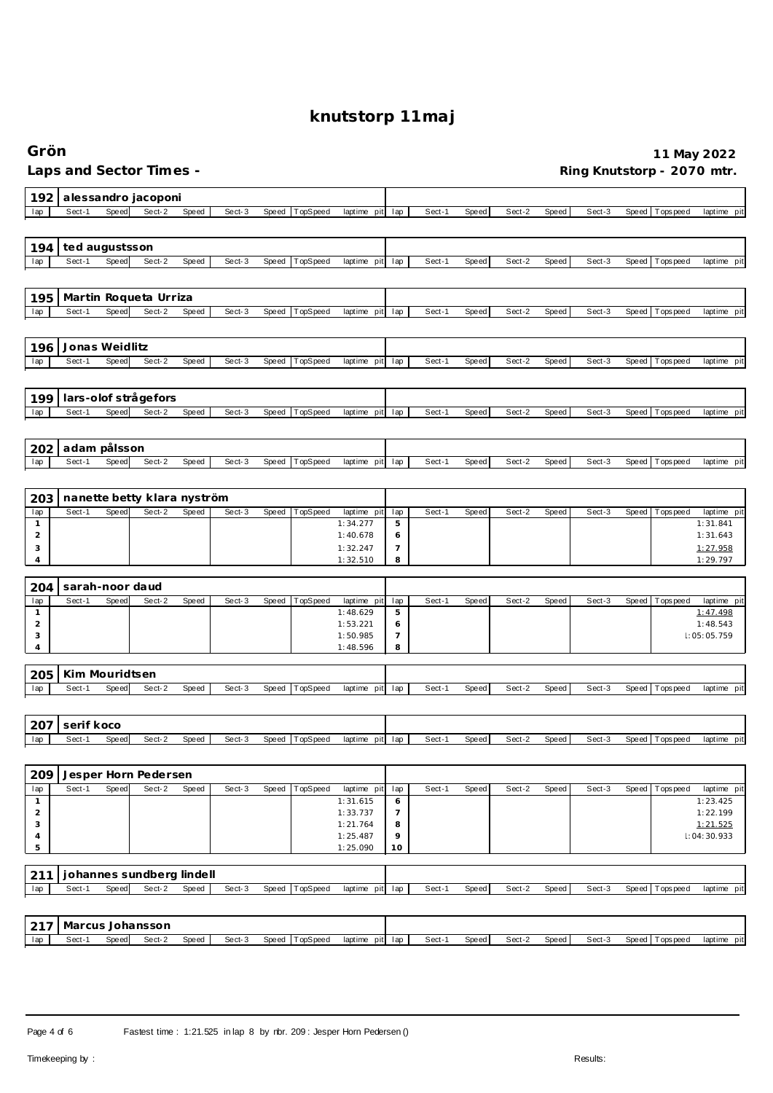| Grön                                    |                 |              |                             |       |        |       |          |                         |                |        |       |        |       |        |       |                  | 11 May 2022                |
|-----------------------------------------|-----------------|--------------|-----------------------------|-------|--------|-------|----------|-------------------------|----------------|--------|-------|--------|-------|--------|-------|------------------|----------------------------|
|                                         |                 |              | Laps and Sector Times -     |       |        |       |          |                         |                |        |       |        |       |        |       |                  | Ring Knutstorp - 2070 mtr. |
| 192                                     |                 |              | alessandro jacoponi         |       |        |       |          |                         |                |        |       |        |       |        |       |                  |                            |
| lap                                     | Sect-1          | <b>Speed</b> | Sect-2                      | Speed | Sect-3 | Speed | TopSpeed | laptime pit             | lap            | Sect-1 | Speed | Sect-2 | Speed | Sect-3 | Speed | <b>Topspeed</b>  | laptime pit                |
| 194                                     | ted augustsson  |              |                             |       |        |       |          |                         |                |        |       |        |       |        |       |                  |                            |
| lap                                     | Sect-1          | Speed        | Sect-2                      | Speed | Sect-3 | Speed | TopSpeed | laptime pit             | lap            | Sect-1 | Speed | Sect-2 | Speed | Sect-3 | Speed | T ops pee d      | laptime pit                |
| 195                                     |                 |              | Martin Roqueta Urriza       |       |        |       |          |                         |                |        |       |        |       |        |       |                  |                            |
| lap                                     | Sect-1          | Speed        | Sect-2                      | Speed | Sect-3 | Speed | TopSpeed | laptime pit             | lap            | Sect-1 | Speed | Sect-2 | Speed | Sect-3 |       | Speed Tops peed  | laptime pit                |
| 196                                     | Jonas Weidlitz  |              |                             |       |        |       |          |                         |                |        |       |        |       |        |       |                  |                            |
| lap                                     | Sect-1          | <b>Speed</b> | Sect-2                      | Speed | Sect-3 | Speed | TopSpeed | laptime pit             | lap            | Sect-1 | Speed | Sect-2 | Speed | Sect-3 | Speed | T ops pee d      | laptime pit                |
| 199                                     |                 |              | lars-olof strågefors        |       |        |       |          |                         |                |        |       |        |       |        |       |                  |                            |
| lap                                     | Sect-1          | Speed        | Sect-2                      | Speed | Sect-3 | Speed | TopSpeed | laptime pit             | lap            | Sect-1 | Speed | Sect-2 | Speed | Sect-3 | Speed | T ops peed       | laptime pit                |
| 202                                     | adam pålsson    |              |                             |       |        |       |          |                         |                |        |       |        |       |        |       |                  |                            |
| lap                                     | Sect-1          | Speed        | Sect-2                      | Speed | Sect-3 | Speed | TopSpeed | laptime pit             | lap            | Sect-1 | Speed | Sect-2 | Speed | Sect-3 | Speed | Tops pee d       | laptime pit                |
| 203                                     |                 |              | nanette betty klara nyström |       |        |       |          |                         |                |        |       |        |       |        |       |                  |                            |
| lap<br>1                                | Sect-1          | Speed        | Sect-2                      | Speed | Sect-3 | Speed | TopSpeed | laptime pit<br>1:34.277 | lap<br>5       | Sect-1 | Speed | Sect-2 | Speed | Sect-3 | Speed | Tops pee d       | laptime pit<br>1:31.841    |
| $\overline{2}$                          |                 |              |                             |       |        |       |          | 1:40.678                | 6              |        |       |        |       |        |       |                  | 1:31.643                   |
| 3                                       |                 |              |                             |       |        |       |          | 1:32.247                | 7              |        |       |        |       |        |       |                  | 1:27.958                   |
| 4                                       |                 |              |                             |       |        |       |          | 1:32.510                | 8              |        |       |        |       |        |       |                  | 1:29.797                   |
| 204                                     | sarah-noor daud |              |                             |       |        |       |          |                         |                |        |       |        |       |        |       |                  |                            |
| lap<br>$\mathbf{1}$                     | Sect-1          | Speed        | Sect-2                      | Speed | Sect-3 | Speed | TopSpeed | laptime pit<br>1:48.629 | lap<br>5       | Sect-1 | Speed | Sect-2 | Speed | Sect-3 | Speed | Tops peed        | laptime pit<br>1:47.498    |
| $\overline{2}$                          |                 |              |                             |       |        |       |          | 1:53.221                | 6              |        |       |        |       |        |       |                  | 1:48.543                   |
| 3                                       |                 |              |                             |       |        |       |          | 1:50.985                | $\overline{7}$ |        |       |        |       |        |       |                  | 1:05:05.759                |
| $\overline{4}$                          |                 |              |                             |       |        |       |          | 1:48.596                | 8              |        |       |        |       |        |       |                  |                            |
| 205                                     | Kim Mouridtsen  |              |                             |       |        |       |          |                         |                |        |       |        |       |        |       |                  |                            |
| lap                                     | Sect-1          | Speed        | Sect-2                      | Speed | Sect-3 | Speed | TopSpeed | laptime<br>pit          | lap            | Sect-1 | Speed | Sect-2 | Speed | Sect-3 | Speed | Tops peed        | laptime pit                |
|                                         | 207 serif koco  |              |                             |       |        |       |          |                         |                |        |       |        |       |        |       |                  |                            |
| lap                                     | Sect-1          | Speed        | Sect-2                      | Speed | Sect-3 | Speed | TopSpeed | laptime pit             | lap            | Sect-1 | Speed | Sect-2 | Speed | Sect-3 |       | Speed Topspeed   | laptime pit                |
| 209                                     |                 |              | Jesper Horn Pedersen        |       |        |       |          |                         |                |        |       |        |       |        |       |                  |                            |
| lap                                     | Sect-1          | Speed        | Sect-2                      | Speed | Sect-3 | Speed | TopSpeed | laptime pit             | lap            | Sect-1 | Speed | Sect-2 | Speed | Sect-3 | Speed | <b>Tops peed</b> | laptime pit                |
| $\mathbf{1}$<br>$\overline{\mathbf{c}}$ |                 |              |                             |       |        |       |          | 1:31.615<br>1:33.737    | 6<br>7         |        |       |        |       |        |       |                  | 1:23.425<br>1:22.199       |
| 3                                       |                 |              |                             |       |        |       |          | 1:21.764                | 8              |        |       |        |       |        |       |                  | 1:21.525                   |
| $\sqrt{4}$                              |                 |              |                             |       |        |       |          | 1:25.487                | 9              |        |       |        |       |        |       |                  | 1:04:30.933                |
| 5                                       |                 |              |                             |       |        |       |          | 1:25.090                | 10             |        |       |        |       |        |       |                  |                            |
| 211                                     |                 |              | johannes sundberg lindell   |       |        |       |          |                         |                |        |       |        |       |        |       |                  |                            |
| lap                                     | Sect-1          | Speed        | Sect-2                      | Speed | Sect-3 | Speed | TopSpeed | laptime pit             | lap            | Sect-1 | Speed | Sect-2 | Speed | Sect-3 |       | Speed Tops peed  | laptime pit                |
|                                         |                 |              | Marcus Johansson            |       |        |       |          |                         |                |        |       |        |       |        |       |                  |                            |
| 217<br>lap                              | Sect-1          | Speed        | Sect-2                      | Speed | Sect-3 | Speed | TopSpeed | laptime pit             | lap            | Sect-1 | Speed | Sect-2 | Speed | Sect-3 |       | Speed Tops peed  | laptime pit                |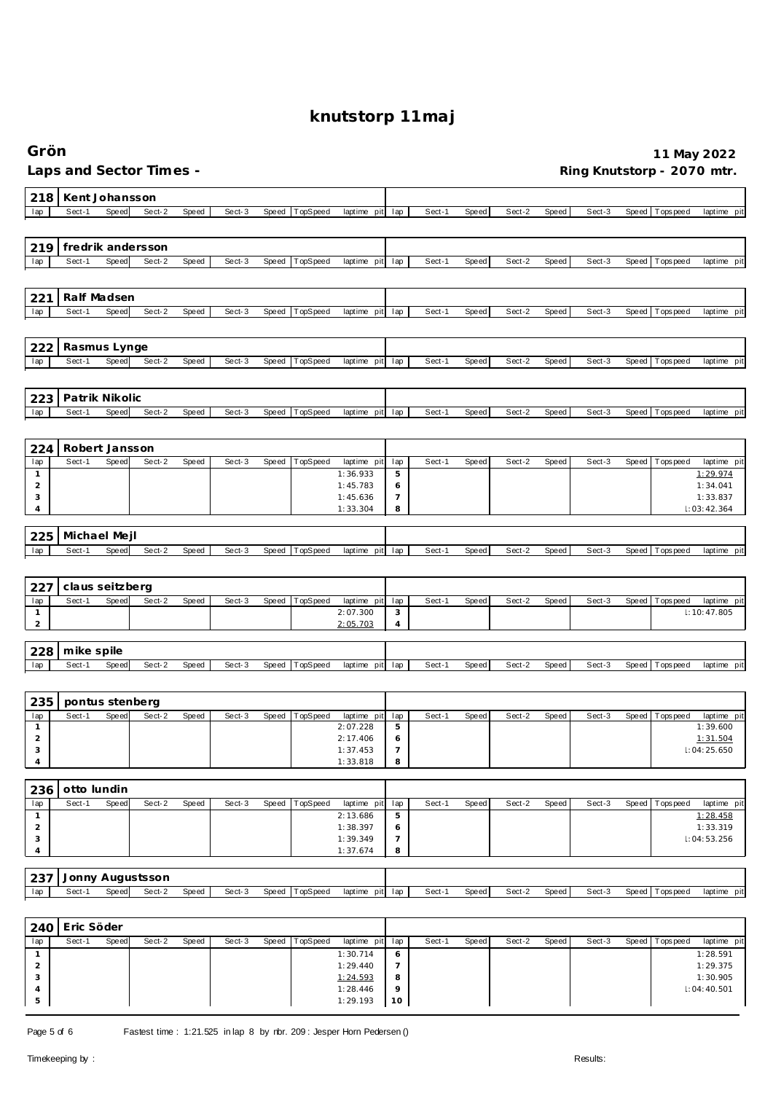| Grön                           |                         |                       |        |       |        |       |          |                         |                     |        |              |        |       |        |       |                | 11 May 2022                |
|--------------------------------|-------------------------|-----------------------|--------|-------|--------|-------|----------|-------------------------|---------------------|--------|--------------|--------|-------|--------|-------|----------------|----------------------------|
|                                | Laps and Sector Times - |                       |        |       |        |       |          |                         |                     |        |              |        |       |        |       |                | Ring Knutstorp - 2070 mtr. |
| 218                            |                         | Kent Johansson        |        |       |        |       |          |                         |                     |        |              |        |       |        |       |                |                            |
| lap                            | Sect-1                  | Speed                 | Sect-2 | Speed | Sect-3 | Speed | TopSpeed | laptime pit             | lap                 | Sect-1 | <b>Speed</b> | Sect-2 | Speed | Sect-3 | Speed | Tops peed      | laptime pit                |
|                                |                         |                       |        |       |        |       |          |                         |                     |        |              |        |       |        |       |                |                            |
| 219                            | fredrik andersson       |                       |        |       |        |       |          |                         |                     |        |              |        |       |        |       |                |                            |
| lap                            | Sect-1                  | Speed                 | Sect-2 | Speed | Sect-3 | Speed | TopSpeed | laptime pit             | lap                 | Sect-1 | Speed        | Sect-2 | Speed | Sect-3 | Speed | Tops peed      | laptime pit                |
|                                |                         |                       |        |       |        |       |          |                         |                     |        |              |        |       |        |       |                |                            |
| 221                            |                         | Ralf Madsen           |        |       |        |       |          |                         |                     |        |              |        |       |        |       |                |                            |
| lap                            | Sect-1                  | Speed                 | Sect-2 | Speed | Sect-3 | Speed | TopSpeed | laptime pit lap         |                     | Sect-1 | <b>Speed</b> | Sect-2 | Speed | Sect-3 | Speed | Tops peed      | laptime pit                |
|                                |                         |                       |        |       |        |       |          |                         |                     |        |              |        |       |        |       |                |                            |
| 222<br>lap                     | Sect-1                  | Rasmus Lynge<br>Speed | Sect-2 | Speed | Sect-3 | Speed | TopSpeed | laptime pit             | lap                 | Sect-1 | <b>Speed</b> | Sect-2 | Speed | Sect-3 | Speed | T ops pee d    | laptime pit                |
|                                |                         |                       |        |       |        |       |          |                         |                     |        |              |        |       |        |       |                |                            |
|                                |                         | Patrik Nikolic        |        |       |        |       |          |                         |                     |        |              |        |       |        |       |                |                            |
| 223<br>lap                     | Sect-1                  | Speed                 | Sect-2 | Speed | Sect-3 | Speed | TopSpeed | laptime pit             | lap                 | Sect-1 | <b>Speed</b> | Sect-2 | Speed | Sect-3 | Speed | Tops peed      | laptime pit                |
|                                |                         |                       |        |       |        |       |          |                         |                     |        |              |        |       |        |       |                |                            |
| 224                            |                         | Robert Jansson        |        |       |        |       |          |                         |                     |        |              |        |       |        |       |                |                            |
| lap                            | Sect-1                  | Speed                 | Sect-2 | Speed | Sect-3 | Speed | TopSpeed | laptime pit             | lap                 | Sect-1 | <b>Speed</b> | Sect-2 | Speed | Sect-3 | Speed | T ops pee d    | laptime pit                |
| $\mathbf{1}$                   |                         |                       |        |       |        |       |          | 1:36.933                | 5                   |        |              |        |       |        |       |                | 1:29.974                   |
| $\overline{2}$<br>3            |                         |                       |        |       |        |       |          | 1:45.783<br>1:45.636    | 6<br>7              |        |              |        |       |        |       |                | 1:34.041<br>1:33.837       |
| 4                              |                         |                       |        |       |        |       |          | 1:33.304                | 8                   |        |              |        |       |        |       |                | 1:03:42.364                |
| 225                            |                         | Michael Mejl          |        |       |        |       |          |                         |                     |        |              |        |       |        |       |                |                            |
| lap                            | Sect-1                  | Speed                 | Sect-2 | Speed | Sect-3 | Speed | TopSpeed | laptime pit             | lap                 | Sect-1 | <b>Speed</b> | Sect-2 | Speed | Sect-3 | Speed | T ops pee d    | laptime pit                |
|                                |                         |                       |        |       |        |       |          |                         |                     |        |              |        |       |        |       |                |                            |
| 227                            |                         | claus seitzberg       |        |       |        |       |          |                         |                     |        |              |        |       |        |       |                |                            |
| lap                            | Sect-1                  | Speed                 | Sect-2 | Speed | Sect-3 | Speed | TopSpeed | laptime pit             | lap                 | Sect-1 | Speed        | Sect-2 | Speed | Sect-3 | Speed | Tops peed      | laptime pit                |
| $\mathbf{1}$<br>$\overline{c}$ |                         |                       |        |       |        |       |          | 2:07.300<br>2:05.703    | 3<br>4              |        |              |        |       |        |       |                | 1:10:47.805                |
|                                |                         |                       |        |       |        |       |          |                         |                     |        |              |        |       |        |       |                |                            |
| 228                            | mike spile              |                       |        |       |        |       |          |                         |                     |        |              |        |       |        |       |                |                            |
| lap                            | Sect-1                  | Speed                 | Sect-2 | Speed | Sect-3 | Speed | TopSpeed | laptime pit             | lap                 | Sect-1 | Speed        | Sect-2 | Speed | Sect-3 | Speed | T ops pee d    | laptime pit                |
|                                |                         |                       |        |       |        |       |          |                         |                     |        |              |        |       |        |       |                |                            |
| 235                            |                         | pontus stenberg       |        |       |        |       |          |                         |                     |        |              |        |       |        |       |                |                            |
| lap<br>$\mathbf{1}$            | Sect-1                  | Speed                 | Sect-2 | Speed | Sect-3 | Speed | TopSpeed | laptime pit<br>2:07.228 | lap<br>5            | Sect-1 | <b>Speed</b> | Sect-2 | Speed | Sect-3 | Speed | T ops pee d    | laptime pit<br>1:39.600    |
| $\overline{c}$                 |                         |                       |        |       |        |       |          | 2:17.406                | 6                   |        |              |        |       |        |       |                | 1:31.504                   |
| 3<br>4                         |                         |                       |        |       |        |       |          | 1:37.453<br>1:33.818    | $\overline{7}$<br>8 |        |              |        |       |        |       |                | 1:04:25.650                |
|                                |                         |                       |        |       |        |       |          |                         |                     |        |              |        |       |        |       |                |                            |
| 236                            | otto lundin             |                       |        |       |        |       |          |                         |                     |        |              |        |       |        |       |                |                            |
| lap<br>$\mathbf{1}$            | Sect-1                  | Speed                 | Sect-2 | Speed | Sect-3 | Speed | TopSpeed | laptime pit<br>2:13.686 | lap<br>$\mathbf 5$  | Sect-1 | Speed        | Sect-2 | Speed | Sect-3 | Speed | T ops pee d    | laptime pit<br>1:28.458    |
| $\overline{c}$                 |                         |                       |        |       |        |       |          | 1:38.397                | 6                   |        |              |        |       |        |       |                | 1:33.319                   |
| 3<br>4                         |                         |                       |        |       |        |       |          | 1:39.349<br>1:37.674    | $\overline{7}$<br>8 |        |              |        |       |        |       |                | 1:04:53.256                |
|                                |                         |                       |        |       |        |       |          |                         |                     |        |              |        |       |        |       |                |                            |
| 237                            |                         | Jonny Augustsson      |        |       |        |       |          |                         |                     |        |              |        |       |        |       |                |                            |
| lap                            | Sect-1                  | Speed                 | Sect-2 | Speed | Sect-3 | Speed | TopSpeed | laptime pit lap         |                     | Sect-1 | Speed        | Sect-2 | Speed | Sect-3 |       | Speed Topspeed | laptime pit                |
|                                |                         |                       |        |       |        |       |          |                         |                     |        |              |        |       |        |       |                |                            |
| 240                            | Eric Söder<br>Sect-1    | Speed                 | Sect-2 | Speed | Sect-3 | Speed |          | laptime pit             |                     | Sect-1 | Speed        | Sect-2 | Speed | Sect-3 | Speed |                | laptime pit                |
| lap<br>$\mathbf{1}$            |                         |                       |        |       |        |       | TopSpeed | 1:30.714                | lap<br>6            |        |              |        |       |        |       | T ops pee d    | 1:28.591                   |
| $\overline{c}$                 |                         |                       |        |       |        |       |          | 1:29.440                | 7                   |        |              |        |       |        |       |                | 1:29.375                   |
| 3<br>4                         |                         |                       |        |       |        |       |          | 1:24.593<br>1:28.446    | 8<br>9              |        |              |        |       |        |       |                | 1:30.905<br>1:04:40.501    |
| $\mathbf 5$                    |                         |                       |        |       |        |       |          | 1:29.193                | 10                  |        |              |        |       |        |       |                |                            |
|                                |                         |                       |        |       |        |       |          |                         |                     |        |              |        |       |        |       |                |                            |